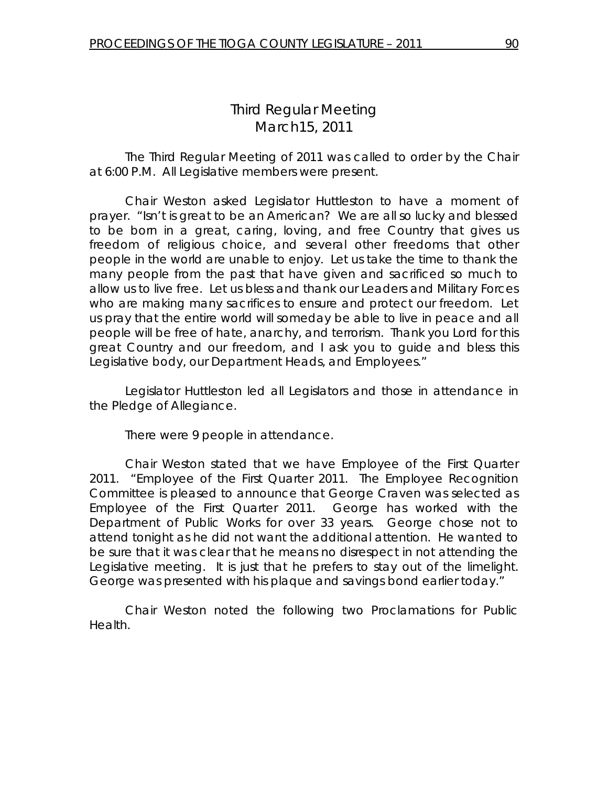# *Third Regular Meeting*  March15, 2011

 The Third Regular Meeting of 2011 was called to order by the Chair at 6:00 P.M. All Legislative members were present.

Chair Weston asked Legislator Huttleston to have a moment of prayer. "Isn't is great to be an American? We are all so lucky and blessed to be born in a great, caring, loving, and free Country that gives us freedom of religious choice, and several other freedoms that other people in the world are unable to enjoy. Let us take the time to thank the many people from the past that have given and sacrificed so much to allow us to live free. Let us bless and thank our Leaders and Military Forces who are making many sacrifices to ensure and protect our freedom. Let us pray that the entire world will someday be able to live in peace and all people will be free of hate, anarchy, and terrorism. Thank you Lord for this great Country and our freedom, and I ask you to guide and bless this Legislative body, our Department Heads, and Employees."

 Legislator Huttleston led all Legislators and those in attendance in the Pledge of Allegiance.

There were 9 people in attendance.

 Chair Weston stated that we have Employee of the First Quarter 2011. "Employee of the First Quarter 2011. The Employee Recognition Committee is pleased to announce that George Craven was selected as Employee of the First Quarter 2011. George has worked with the Department of Public Works for over 33 years. George chose not to attend tonight as he did not want the additional attention. He wanted to be sure that it was clear that he means no disrespect in not attending the Legislative meeting. It is just that he prefers to stay out of the limelight. George was presented with his plaque and savings bond earlier today."

 Chair Weston noted the following two Proclamations for Public Health.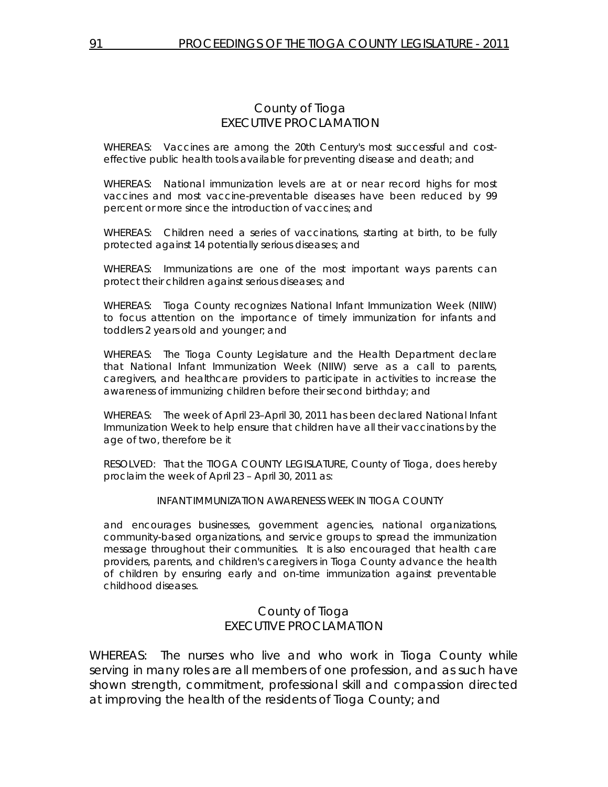#### County of Tioga EXECUTIVE PROCLAMATION

WHEREAS: Vaccines are among the 20th Century's most successful and costeffective public health tools available for preventing disease and death; and

WHEREAS: National immunization levels are at or near record highs for most vaccines and most vaccine-preventable diseases have been reduced by 99 percent or more since the introduction of vaccines; and

WHEREAS: Children need a series of vaccinations, starting at birth, to be fully protected against 14 potentially serious diseases; and

WHEREAS: Immunizations are one of the most important ways parents can protect their children against serious diseases; and

WHEREAS: Tioga County recognizes National Infant Immunization Week (NIIW) to focus attention on the importance of timely immunization for infants and toddlers 2 years old and younger; and

WHEREAS: The Tioga County Legislature and the Health Department declare that National Infant Immunization Week (NIIW) serve as a call to parents, caregivers, and healthcare providers to participate in activities to increase the awareness of immunizing children before their second birthday; and

WHEREAS: The week of April 23–April 30, 2011 has been declared National Infant Immunization Week to help ensure that children have all their vaccinations by the age of two, therefore be it

RESOLVED: That the TIOGA COUNTY LEGISLATURE, County of Tioga, does hereby proclaim the week of April 23 – April 30, 2011 as:

#### INFANT IMMUNIZATION AWARENESS WEEK IN TIOGA COUNTY

and encourages businesses, government agencies, national organizations, community-based organizations, and service groups to spread the immunization message throughout their communities. It is also encouraged that health care providers, parents, and children's caregivers in Tioga County advance the health of children by ensuring early and on-time immunization against preventable childhood diseases.

#### County of Tioga EXECUTIVE PROCLAMATION

WHEREAS: The nurses who live and who work in Tioga County while serving in many roles are all members of one profession, and as such have shown strength, commitment, professional skill and compassion directed at improving the health of the residents of Tioga County; and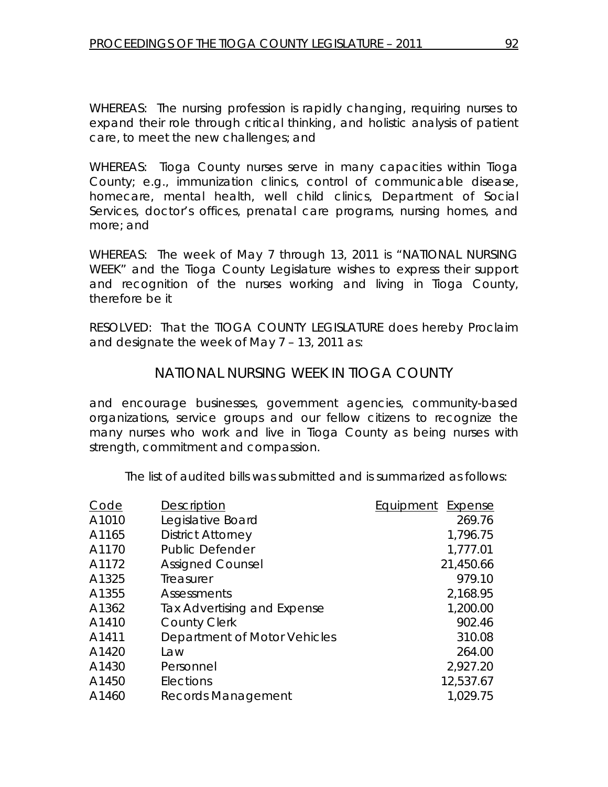WHEREAS: The nursing profession is rapidly changing, requiring nurses to expand their role through critical thinking, and holistic analysis of patient care, to meet the new challenges; and

WHEREAS: Tioga County nurses serve in many capacities within Tioga County; e.g., immunization clinics, control of communicable disease, homecare, mental health, well child clinics, Department of Social Services, doctor's offices, prenatal care programs, nursing homes, and more; and

WHEREAS: The week of May 7 through 13, 2011 is "NATIONAL NURSING WEEK" and the Tioga County Legislature wishes to express their support and recognition of the nurses working and living in Tioga County, therefore be it

RESOLVED: That the TIOGA COUNTY LEGISLATURE does hereby Proclaim and designate the week of May 7 – 13, 2011 as:

# *NATIONAL NURSING WEEK IN TIOGA COUNTY*

and encourage businesses, government agencies, community-based organizations, service groups and our fellow citizens to recognize the many nurses who work and live in Tioga County as being nurses with strength, commitment and compassion.

The list of audited bills was submitted and is summarized as follows:

| Code  | <b>Description</b>           | Equipment<br>Expense |
|-------|------------------------------|----------------------|
| A1010 | Legislative Board            | 269.76               |
| A1165 | <b>District Attorney</b>     | 1,796.75             |
| A1170 | <b>Public Defender</b>       | 1,777.01             |
| A1172 | <b>Assigned Counsel</b>      | 21,450.66            |
| A1325 | Treasurer                    | 979.10               |
| A1355 | Assessments                  | 2,168.95             |
| A1362 | Tax Advertising and Expense  | 1,200.00             |
| A1410 | <b>County Clerk</b>          | 902.46               |
| A1411 | Department of Motor Vehicles | 310.08               |
| A1420 | Law                          | 264.00               |
| A1430 | Personnel                    | 2,927.20             |
| A1450 | Elections                    | 12,537.67            |
| A1460 | Records Management           | 1,029.75             |
|       |                              |                      |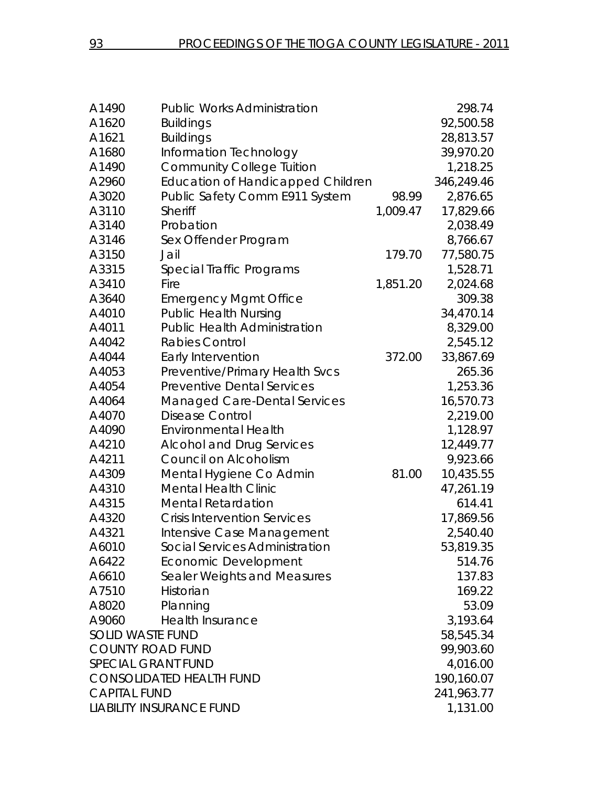| A1490                     | <b>Public Works Administration</b>       |          | 298.74     |
|---------------------------|------------------------------------------|----------|------------|
| A1620                     | <b>Buildings</b>                         |          | 92,500.58  |
| A1621                     | <b>Buildings</b>                         |          | 28,813.57  |
| A1680                     | Information Technology                   |          | 39,970.20  |
| A1490                     | <b>Community College Tuition</b>         |          | 1,218.25   |
| A2960                     | <b>Education of Handicapped Children</b> |          | 346,249.46 |
| A3020                     | Public Safety Comm E911 System           | 98.99    | 2,876.65   |
| A3110                     | Sheriff                                  | 1,009.47 | 17,829.66  |
| A3140                     | Probation                                |          | 2,038.49   |
| A3146                     | Sex Offender Program                     |          | 8,766.67   |
| A3150                     | Jail                                     | 179.70   | 77,580.75  |
| A3315                     | Special Traffic Programs                 |          | 1,528.71   |
| A3410                     | Fire                                     | 1,851.20 | 2,024.68   |
| A3640                     | <b>Emergency Mgmt Office</b>             |          | 309.38     |
| A4010                     | <b>Public Health Nursing</b>             |          | 34,470.14  |
| A4011                     | <b>Public Health Administration</b>      |          | 8,329.00   |
| A4042                     | <b>Rabies Control</b>                    |          | 2,545.12   |
| A4044                     | Early Intervention                       | 372.00   | 33,867.69  |
| A4053                     | Preventive/Primary Health Svcs           |          | 265.36     |
| A4054                     | <b>Preventive Dental Services</b>        |          | 1,253.36   |
| A4064                     | Managed Care-Dental Services             |          | 16,570.73  |
| A4070                     | <b>Disease Control</b>                   |          | 2,219.00   |
| A4090                     | <b>Environmental Health</b>              |          | 1,128.97   |
| A4210                     | <b>Alcohol and Drug Services</b>         |          | 12,449.77  |
| A4211                     | Council on Alcoholism                    |          | 9,923.66   |
| A4309                     | Mental Hygiene Co Admin                  | 81.00    | 10,435.55  |
| A4310                     | <b>Mental Health Clinic</b>              |          | 47,261.19  |
| A4315                     | <b>Mental Retardation</b>                |          | 614.41     |
| A4320                     | <b>Crisis Intervention Services</b>      |          | 17,869.56  |
| A4321                     | Intensive Case Management                |          | 2,540.40   |
| A6010                     | Social Services Administration           |          | 53,819.35  |
| A6422                     | <b>Economic Development</b>              |          | 514.76     |
| A6610                     | Sealer Weights and Measures              |          | 137.83     |
| A7510                     | Historian                                |          | 169.22     |
| A8020                     | Planning                                 |          | 53.09      |
| A9060                     | Health Insurance                         |          | 3,193.64   |
| <b>SOLID WASTE FUND</b>   |                                          |          | 58,545.34  |
| <b>COUNTY ROAD FUND</b>   |                                          |          | 99,903.60  |
| <b>SPECIAL GRANT FUND</b> |                                          |          | 4,016.00   |
|                           | <b>CONSOLIDATED HEALTH FUND</b>          |          | 190,160.07 |
| <b>CAPITAL FUND</b>       |                                          |          | 241,963.77 |
|                           | <b>LIABILITY INSURANCE FUND</b>          |          | 1,131.00   |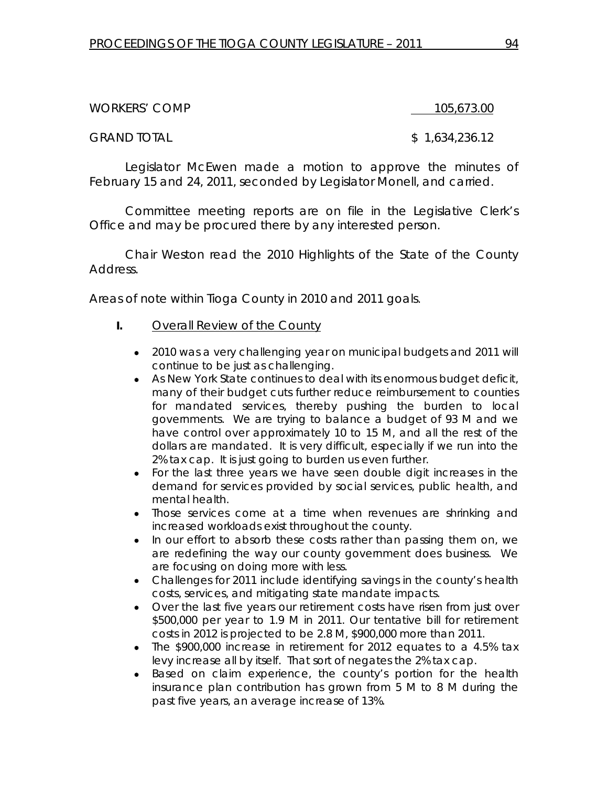WORKERS' COMP 105,673.00

GRAND TOTAL \$ 1,634,236.12

Legislator McEwen made a motion to approve the minutes of February 15 and 24, 2011, seconded by Legislator Monell, and carried.

Committee meeting reports are on file in the Legislative Clerk's Office and may be procured there by any interested person.

Chair Weston read the 2010 Highlights of the State of the County Address.

Areas of note within Tioga County in 2010 and 2011 goals.

- **I.** Overall Review of the County
	- 2010 was a very challenging year on municipal budgets and 2011 will continue to be just as challenging.
	- As New York State continues to deal with its enormous budget deficit, many of their budget cuts further reduce reimbursement to counties for mandated services, thereby pushing the burden to local governments. We are trying to balance a budget of 93 M and we have control over approximately 10 to 15 M, and all the rest of the dollars are mandated. It is very difficult, especially if we run into the 2% tax cap. It is just going to burden us even further.
	- For the last three years we have seen double digit increases in the demand for services provided by social services, public health, and mental health.
	- Those services come at a time when revenues are shrinking and increased workloads exist throughout the county.
	- In our effort to absorb these costs rather than passing them on, we are redefining the way our county government does business. We are focusing on doing more with less.
	- Challenges for 2011 include identifying savings in the county's health costs, services, and mitigating state mandate impacts.
	- Over the last five years our retirement costs have risen from just over \$500,000 per year to 1.9 M in 2011. Our tentative bill for retirement costs in 2012 is projected to be 2.8 M, \$900,000 more than 2011.
	- The \$900,000 increase in retirement for 2012 equates to a 4.5% tax levy increase all by itself. That sort of negates the 2% tax cap.
	- Based on claim experience, the county's portion for the health insurance plan contribution has grown from 5 M to 8 M during the past five years, an average increase of 13%.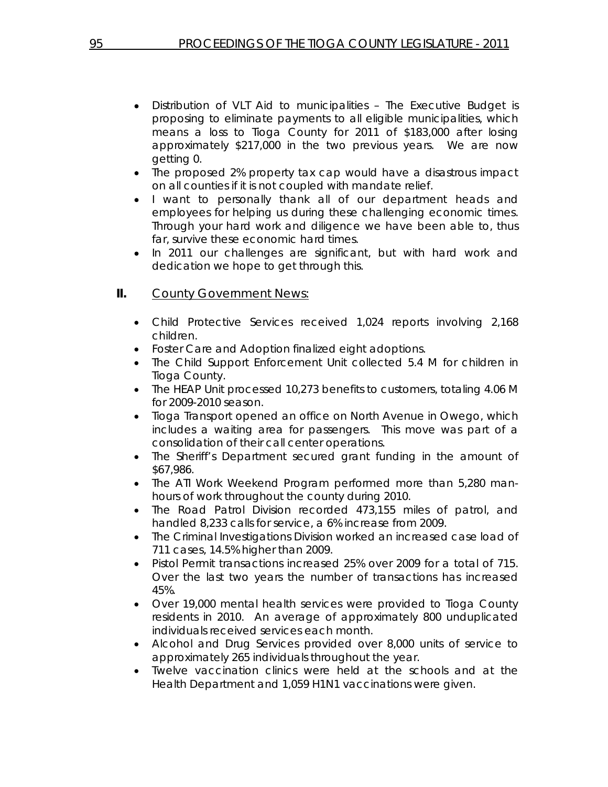- Distribution of VLT Aid to municipalities The Executive Budget is proposing to eliminate payments to all eligible municipalities, which means a loss to Tioga County for 2011 of \$183,000 after losing approximately \$217,000 in the two previous years. We are now getting 0.
- The proposed 2% property tax cap would have a disastrous impact on all counties if it is not coupled with mandate relief.
- I want to personally thank all of our department heads and employees for helping us during these challenging economic times. Through your hard work and diligence we have been able to, thus far, survive these economic hard times.
- In 2011 our challenges are significant, but with hard work and dedication we hope to get through this.

### **II.** County Government News:

- Child Protective Services received 1,024 reports involving 2,168 children.
- Foster Care and Adoption finalized eight adoptions.
- The Child Support Enforcement Unit collected 5.4 M for children in Tioga County.
- The HEAP Unit processed 10,273 benefits to customers, totaling 4.06 M for 2009-2010 season.
- Tioga Transport opened an office on North Avenue in Owego, which includes a waiting area for passengers. This move was part of a consolidation of their call center operations.
- The Sheriff's Department secured grant funding in the amount of \$67,986.
- The ATI Work Weekend Program performed more than 5,280 manhours of work throughout the county during 2010.
- The Road Patrol Division recorded 473,155 miles of patrol, and handled 8,233 calls for service, a 6% increase from 2009.
- The Criminal Investigations Division worked an increased case load of 711 cases, 14.5% higher than 2009.
- Pistol Permit transactions increased 25% over 2009 for a total of 715. Over the last two years the number of transactions has increased 45%.
- Over 19,000 mental health services were provided to Tioga County residents in 2010. An average of approximately 800 unduplicated individuals received services each month.
- Alcohol and Drug Services provided over 8,000 units of service to approximately 265 individuals throughout the year.
- Twelve vaccination clinics were held at the schools and at the Health Department and 1,059 H1N1 vaccinations were given.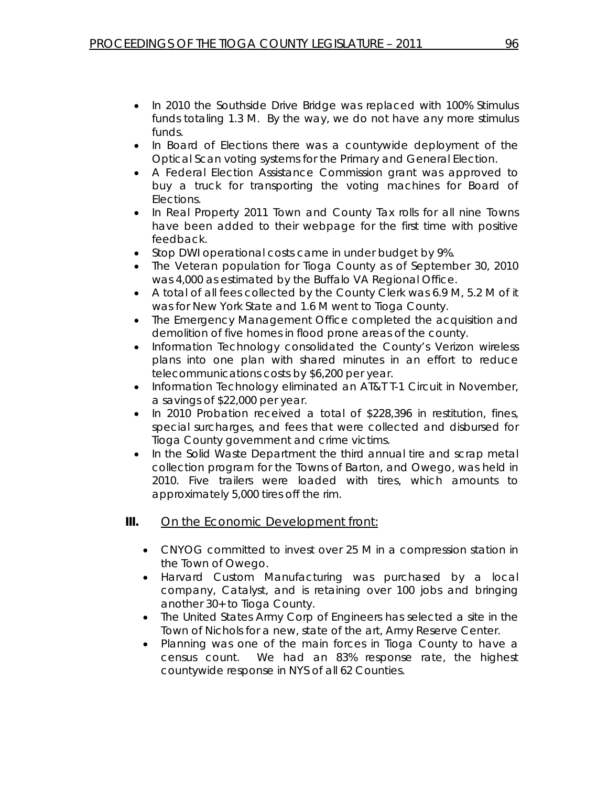- In 2010 the Southside Drive Bridge was replaced with 100% Stimulus funds totaling 1.3 M. By the way, we do not have any more stimulus funds.
- In Board of Elections there was a countywide deployment of the Optical Scan voting systems for the Primary and General Election.
- A Federal Election Assistance Commission grant was approved to buy a truck for transporting the voting machines for Board of Elections.
- In Real Property 2011 Town and County Tax rolls for all nine Towns have been added to their webpage for the first time with positive feedback.
- Stop DWI operational costs came in under budget by 9%.
- The Veteran population for Tioga County as of September 30, 2010 was 4,000 as estimated by the Buffalo VA Regional Office.
- A total of all fees collected by the County Clerk was 6.9 M, 5.2 M of it was for New York State and 1.6 M went to Tioga County.
- The Emergency Management Office completed the acquisition and demolition of five homes in flood prone areas of the county.
- Information Technology consolidated the County's Verizon wireless plans into one plan with shared minutes in an effort to reduce telecommunications costs by \$6,200 per year.
- Information Technology eliminated an AT&T T-1 Circuit in November, a savings of \$22,000 per year.
- In 2010 Probation received a total of \$228,396 in restitution, fines, special surcharges, and fees that were collected and disbursed for Tioga County government and crime victims.
- In the Solid Waste Department the third annual tire and scrap metal collection program for the Towns of Barton, and Owego, was held in 2010. Five trailers were loaded with tires, which amounts to approximately 5,000 tires off the rim.
- **III.** On the Economic Development front:
	- CNYOG committed to invest over 25 M in a compression station in the Town of Owego.
	- Harvard Custom Manufacturing was purchased by a local company, Catalyst, and is retaining over 100 jobs and bringing another 30+ to Tioga County.
	- The United States Army Corp of Engineers has selected a site in the Town of Nichols for a new, state of the art, Army Reserve Center.
	- Planning was one of the main forces in Tioga County to have a census count. We had an 83% response rate, the highest countywide response in NYS of all 62 Counties.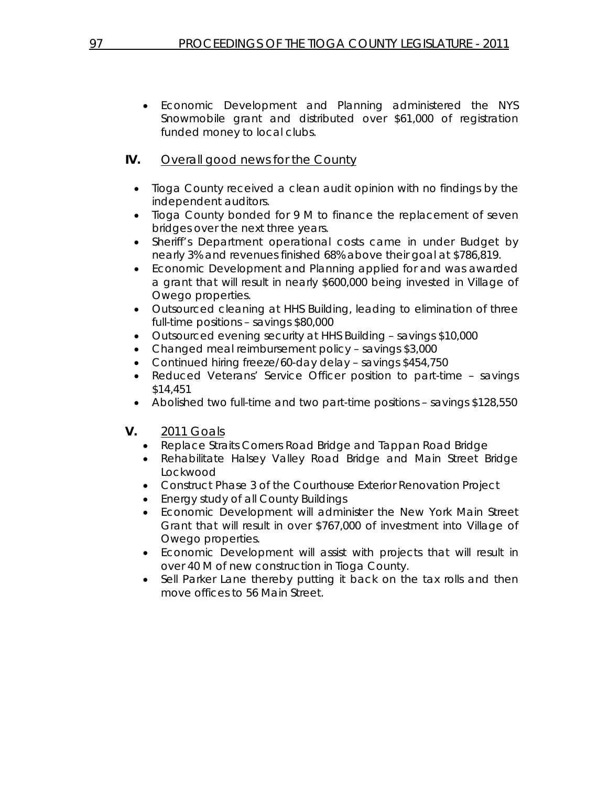• Economic Development and Planning administered the NYS Snowmobile grant and distributed over \$61,000 of registration funded money to local clubs.

## **IV.** Overall good news for the County

- Tioga County received a clean audit opinion with no findings by the independent auditors.
- Tioga County bonded for 9 M to finance the replacement of seven bridges over the next three years.
- Sheriff's Department operational costs came in under Budget by nearly 3% and revenues finished 68% above their goal at \$786,819.
- Economic Development and Planning applied for and was awarded a grant that will result in nearly \$600,000 being invested in Village of Owego properties.
- Outsourced cleaning at HHS Building, leading to elimination of three full-time positions – savings \$80,000
- Outsourced evening security at HHS Building savings \$10,000
- Changed meal reimbursement policy savings \$3,000
- Continued hiring freeze/60-day delay savings \$454,750
- Reduced Veterans' Service Officer position to part-time savings \$14,451
- Abolished two full-time and two part-time positions savings \$128,550
- **V.** 2011 Goals
	- Replace Straits Corners Road Bridge and Tappan Road Bridge
	- Rehabilitate Halsey Valley Road Bridge and Main Street Bridge Lockwood
	- Construct Phase 3 of the Courthouse Exterior Renovation Project
	- Energy study of all County Buildings
	- Economic Development will administer the New York Main Street Grant that will result in over \$767,000 of investment into Village of Owego properties.
	- Economic Development will assist with projects that will result in over 40 M of new construction in Tioga County.
	- Sell Parker Lane thereby putting it back on the tax rolls and then move offices to 56 Main Street.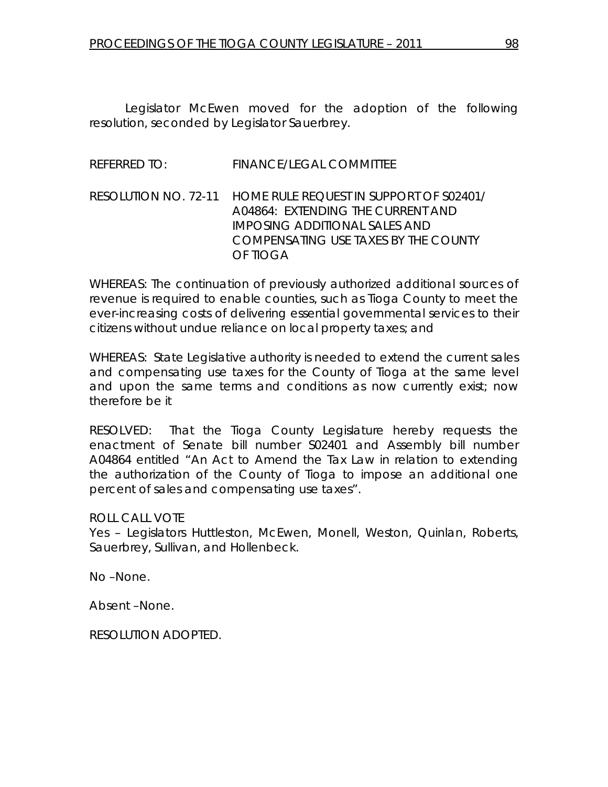Legislator McEwen moved for the adoption of the following resolution, seconded by Legislator Sauerbrey.

### REFERRED TO: FINANCE/LEGAL COMMITTEE

## RESOLUTION NO. 72-11 *HOME RULE REQUEST IN SUPPORT OF S02401/ A04864: EXTENDING THE CURRENT AND IMPOSING ADDITIONAL SALES AND COMPENSATING USE TAXES BY THE COUNTY OF TIOGA*

WHEREAS: The continuation of previously authorized additional sources of revenue is required to enable counties, such as Tioga County to meet the ever-increasing costs of delivering essential governmental services to their citizens without undue reliance on local property taxes; and

WHEREAS: State Legislative authority is needed to extend the current sales and compensating use taxes for the County of Tioga at the same level and upon the same terms and conditions as now currently exist; now therefore be it

RESOLVED: That the Tioga County Legislature hereby requests the enactment of Senate bill number S02401 and Assembly bill number A04864 entitled "An Act to Amend the Tax Law in relation to extending the authorization of the County of Tioga to impose an additional one percent of sales and compensating use taxes".

#### ROLL CALL VOTE

Yes – Legislators Huttleston, McEwen, Monell, Weston, Quinlan, Roberts, Sauerbrey, Sullivan, and Hollenbeck.

No –None.

Absent –None.

RESOLUTION ADOPTED.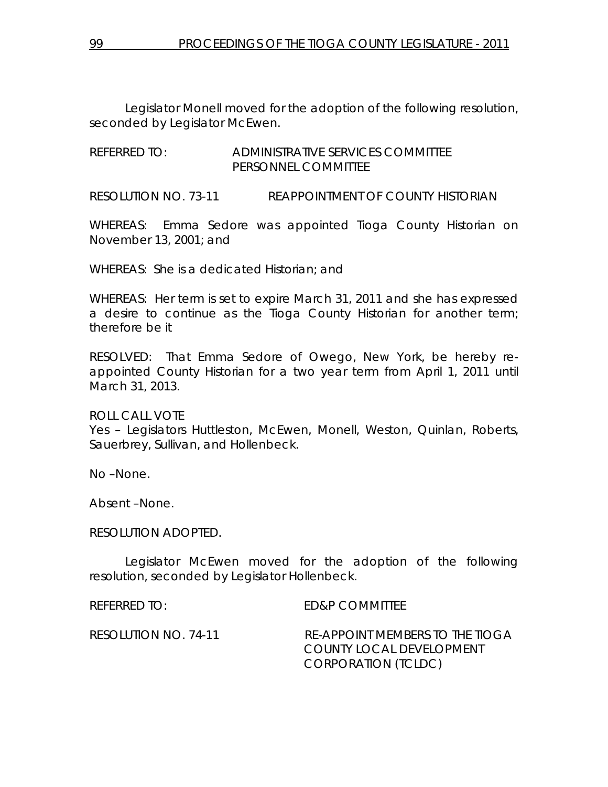Legislator Monell moved for the adoption of the following resolution, seconded by Legislator McEwen.

REFERRED TO: ADMINISTRATIVE SERVICES COMMITTEE PERSONNEL COMMITTEE

RESOLUTION NO. 73-11 *REAPPOINTMENT OF COUNTY HISTORIAN* 

WHEREAS: Emma Sedore was appointed Tioga County Historian on November 13, 2001; and

WHEREAS: She is a dedicated Historian; and

WHEREAS: Her term is set to expire March 31, 2011 and she has expressed a desire to continue as the Tioga County Historian for another term; therefore be it

RESOLVED: That Emma Sedore of Owego, New York, be hereby reappointed County Historian for a two year term from April 1, 2011 until March 31, 2013.

ROLL CALL VOTE Yes – Legislators Huttleston, McEwen, Monell, Weston, Quinlan, Roberts, Sauerbrey, Sullivan, and Hollenbeck.

No –None.

Absent –None.

RESOLUTION ADOPTED.

 Legislator McEwen moved for the adoption of the following resolution, seconded by Legislator Hollenbeck.

REFERRED TO: ED&P COMMITTEE

RESOLUTION NO. 74-11 *RE-APPOINT MEMBERS TO THE TIOGA COUNTY LOCAL DEVELOPMENT CORPORATION (TCLDC)*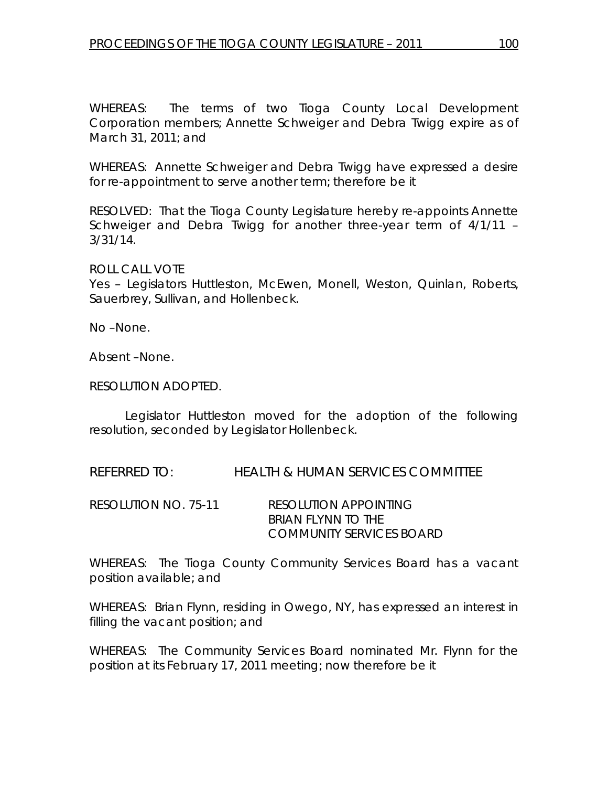WHEREAS: The terms of two Tioga County Local Development Corporation members; Annette Schweiger and Debra Twigg expire as of March 31, 2011; and

WHEREAS: Annette Schweiger and Debra Twigg have expressed a desire for re-appointment to serve another term; therefore be it

RESOLVED: That the Tioga County Legislature hereby re-appoints Annette Schweiger and Debra Twigg for another three-year term of 4/1/11 – 3/31/14.

ROLL CALL VOTE

Yes – Legislators Huttleston, McEwen, Monell, Weston, Quinlan, Roberts, Sauerbrey, Sullivan, and Hollenbeck.

No –None.

Absent –None.

RESOLUTION ADOPTED.

 Legislator Huttleston moved for the adoption of the following resolution, seconded by Legislator Hollenbeck.

REFERRED TO: HEALTH & HUMAN SERVICES COMMITTEE

RESOLUTION NO. 75-11 *RESOLUTION APPOINTING BRIAN FLYNN TO THE COMMUNITY SERVICES BOARD* 

WHEREAS: The Tioga County Community Services Board has a vacant position available; and

WHEREAS: Brian Flynn, residing in Owego, NY, has expressed an interest in filling the vacant position; and

WHEREAS: The Community Services Board nominated Mr. Flynn for the position at its February 17, 2011 meeting; now therefore be it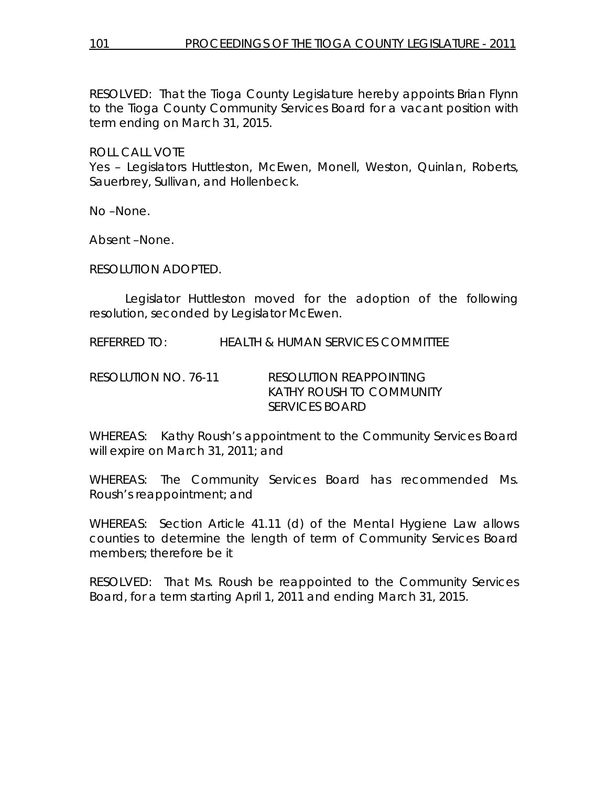RESOLVED: That the Tioga County Legislature hereby appoints Brian Flynn to the Tioga County Community Services Board for a vacant position with term ending on March 31, 2015.

ROLL CALL VOTE

Yes – Legislators Huttleston, McEwen, Monell, Weston, Quinlan, Roberts, Sauerbrey, Sullivan, and Hollenbeck.

No –None.

Absent –None.

RESOLUTION ADOPTED.

 Legislator Huttleston moved for the adoption of the following resolution, seconded by Legislator McEwen.

REFERRED TO: HEALTH & HUMAN SERVICES COMMITTEE

RESOLUTION NO. 76-11 *RESOLUTION REAPPOINTING KATHY ROUSH TO COMMUNITY SERVICES BOARD* 

WHEREAS: Kathy Roush's appointment to the Community Services Board will expire on March 31, 2011; and

WHEREAS: The Community Services Board has recommended Ms. Roush's reappointment; and

WHEREAS: Section Article 41.11 (d) of the Mental Hygiene Law allows counties to determine the length of term of Community Services Board members; therefore be it

RESOLVED: That Ms. Roush be reappointed to the Community Services Board, for a term starting April 1, 2011 and ending March 31, 2015.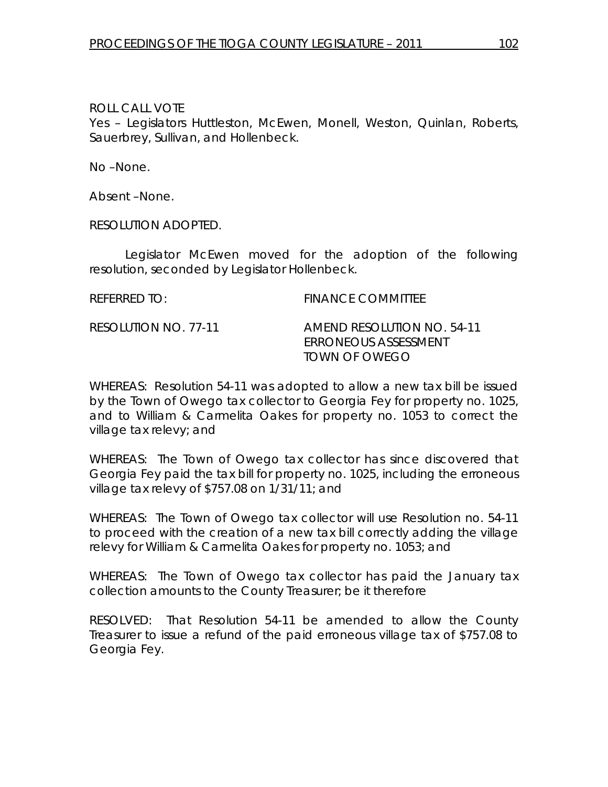ROLL CALL VOTE Yes – Legislators Huttleston, McEwen, Monell, Weston, Quinlan, Roberts, Sauerbrey, Sullivan, and Hollenbeck.

No –None.

Absent –None.

RESOLUTION ADOPTED.

 Legislator McEwen moved for the adoption of the following resolution, seconded by Legislator Hollenbeck.

REFERRED TO: The Second Second Second FINANCE COMMITTEE

RESOLUTION NO. 77-11 *AMEND RESOLUTION NO. 54-11 ERRONEOUS ASSESSMENT TOWN OF OWEGO* 

WHEREAS: Resolution 54-11 was adopted to allow a new tax bill be issued by the Town of Owego tax collector to Georgia Fey for property no. 1025, and to William & Carmelita Oakes for property no. 1053 to correct the village tax relevy; and

WHEREAS: The Town of Owego tax collector has since discovered that Georgia Fey paid the tax bill for property no. 1025, including the erroneous village tax relevy of \$757.08 on 1/31/11; and

WHEREAS: The Town of Owego tax collector will use Resolution no. 54-11 to proceed with the creation of a new tax bill correctly adding the village relevy for William & Carmelita Oakes for property no. 1053; and

WHEREAS: The Town of Owego tax collector has paid the January tax collection amounts to the County Treasurer; be it therefore

RESOLVED: That Resolution 54-11 be amended to allow the County Treasurer to issue a refund of the paid erroneous village tax of \$757.08 to Georgia Fey.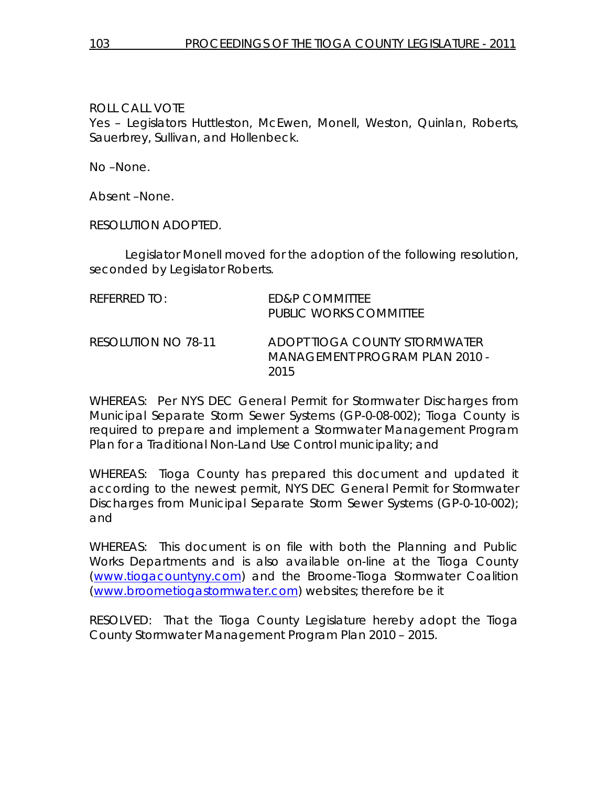ROLL CALL VOTE

Yes – Legislators Huttleston, McEwen, Monell, Weston, Quinlan, Roberts, Sauerbrey, Sullivan, and Hollenbeck.

No –None.

Absent –None.

RESOLUTION ADOPTED.

 Legislator Monell moved for the adoption of the following resolution, seconded by Legislator Roberts.

| REFERRED TO:        | ED&P COMMITTEE<br><b>PUBLIC WORKS COMMITTEE</b>                         |
|---------------------|-------------------------------------------------------------------------|
| RESOLUTION NO 78-11 | ADOPT TIOGA COUNTY STORMWATER<br>MANAGEMENT PROGRAM PLAN 2010 -<br>2015 |

WHEREAS: Per NYS DEC General Permit for Stormwater Discharges from Municipal Separate Storm Sewer Systems (GP-0-08-002); Tioga County is required to prepare and implement a Stormwater Management Program Plan for a Traditional Non-Land Use Control municipality; and

WHEREAS: Tioga County has prepared this document and updated it according to the newest permit, NYS DEC General Permit for Stormwater Discharges from Municipal Separate Storm Sewer Systems (GP-0-10-002); and

WHEREAS: This document is on file with both the Planning and Public Works Departments and is also available on-line at the Tioga County (www.tiogacountyny.com) and the Broome-Tioga Stormwater Coalition (www.broometiogastormwater.com) websites; therefore be it

RESOLVED: That the Tioga County Legislature hereby adopt the Tioga County Stormwater Management Program Plan 2010 – 2015.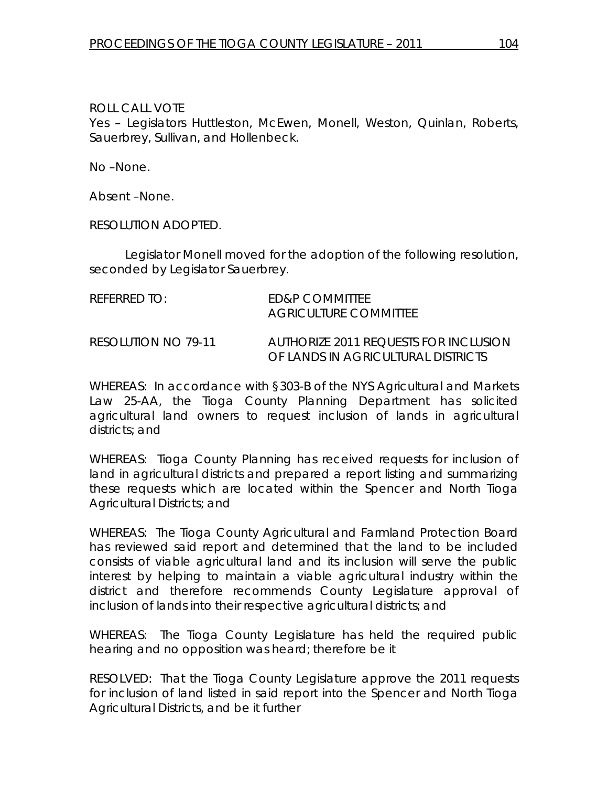ROLL CALL VOTE Yes – Legislators Huttleston, McEwen, Monell, Weston, Quinlan, Roberts, Sauerbrey, Sullivan, and Hollenbeck.

No –None.

Absent –None.

RESOLUTION ADOPTED.

 Legislator Monell moved for the adoption of the following resolution, seconded by Legislator Sauerbrey.

| $R$ FFFRRFD TO:     | <b>FD&amp;P COMMITTEE</b><br>AGRICULTURE COMMITTEE                          |
|---------------------|-----------------------------------------------------------------------------|
| RESOLUTION NO 79-11 | AUTHORIZE 2011 REQUESTS FOR INCLUSION<br>OF LANDS IN AGRICULTURAL DISTRICTS |

WHEREAS: In accordance with §303-B of the NYS Agricultural and Markets Law 25-AA, the Tioga County Planning Department has solicited agricultural land owners to request inclusion of lands in agricultural districts; and

WHEREAS: Tioga County Planning has received requests for inclusion of land in agricultural districts and prepared a report listing and summarizing these requests which are located within the Spencer and North Tioga Agricultural Districts; and

WHEREAS: The Tioga County Agricultural and Farmland Protection Board has reviewed said report and determined that the land to be included consists of viable agricultural land and its inclusion will serve the public interest by helping to maintain a viable agricultural industry within the district and therefore recommends County Legislature approval of inclusion of lands into their respective agricultural districts; and

WHEREAS: The Tioga County Legislature has held the required public hearing and no opposition was heard; therefore be it

RESOLVED: That the Tioga County Legislature approve the 2011 requests for inclusion of land listed in said report into the Spencer and North Tioga Agricultural Districts, and be it further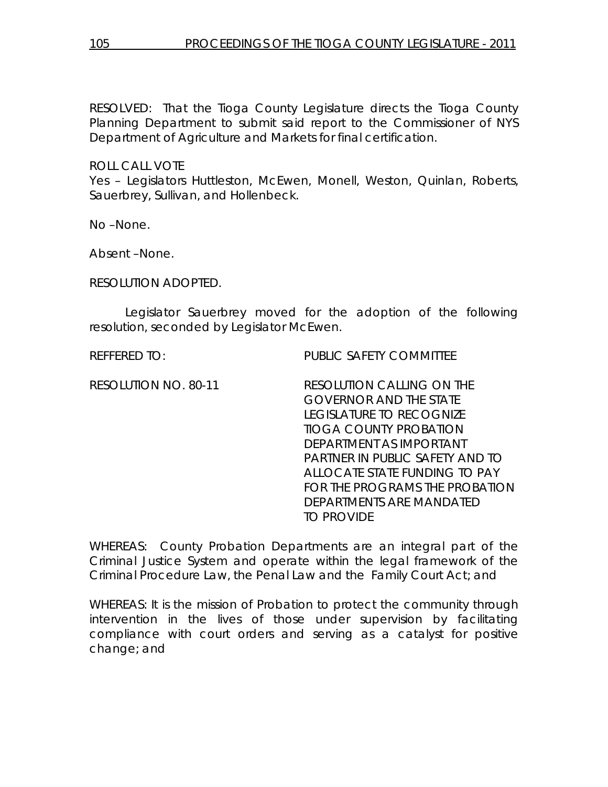RESOLVED: That the Tioga County Legislature directs the Tioga County Planning Department to submit said report to the Commissioner of NYS Department of Agriculture and Markets for final certification.

ROLL CALL VOTE Yes – Legislators Huttleston, McEwen, Monell, Weston, Quinlan, Roberts, Sauerbrey, Sullivan, and Hollenbeck.

No –None.

Absent –None.

RESOLUTION ADOPTED.

 Legislator Sauerbrey moved for the adoption of the following resolution, seconded by Legislator McEwen.

REFFERED TO: PUBLIC SAFETY COMMITTEE

RESOLUTION NO. 80-11 *RESOLUTION CALLING ON THE GOVERNOR AND THE STATE LEGISLATURE TO RECOGNIZE TIOGA COUNTY PROBATION DEPARTMENT AS IMPORTANT PARTNER IN PUBLIC SAFETY AND TO ALLOCATE STATE FUNDING TO PAY FOR THE PROGRAMS THE PROBATION DEPARTMENTS ARE MANDATED TO PROVIDE* 

WHEREAS: County Probation Departments are an integral part of the Criminal Justice System and operate within the legal framework of the Criminal Procedure Law, the Penal Law and the Family Court Act; and

WHEREAS: It is the mission of Probation to protect the community through intervention in the lives of those under supervision by facilitating compliance with court orders and serving as a catalyst for positive change; and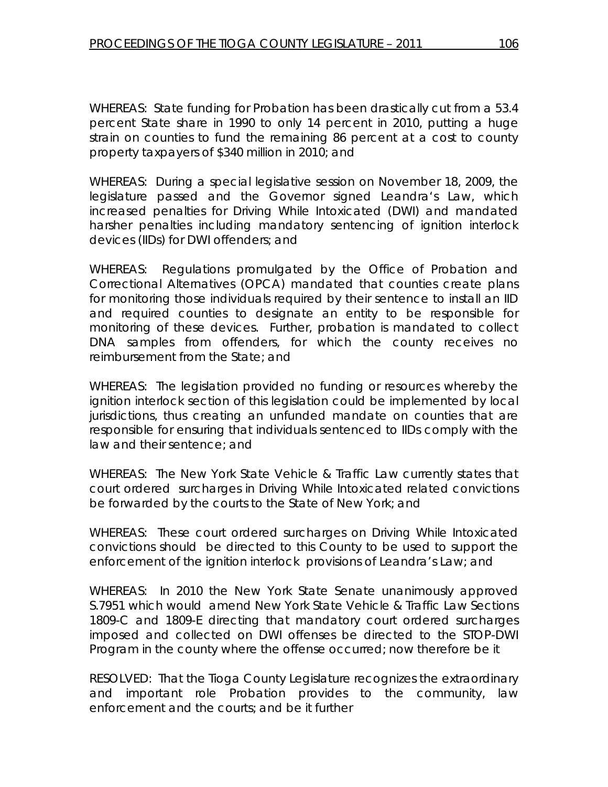WHEREAS: State funding for Probation has been drastically cut from a 53.4 percent State share in 1990 to only 14 percent in 2010, putting a huge strain on counties to fund the remaining 86 percent at a cost to county property taxpayers of \$340 million in 2010; and

WHEREAS: During a special legislative session on November 18, 2009, the legislature passed and the Governor signed Leandra's Law, which increased penalties for Driving While Intoxicated (DWI) and mandated harsher penalties including mandatory sentencing of ignition interlock devices (IIDs) for DWI offenders; and

WHEREAS: Regulations promulgated by the Office of Probation and Correctional Alternatives (OPCA) mandated that counties create plans for monitoring those individuals required by their sentence to install an IID and required counties to designate an entity to be responsible for monitoring of these devices. Further, probation is mandated to collect DNA samples from offenders, for which the county receives no reimbursement from the State; and

WHEREAS: The legislation provided no funding or resources whereby the ignition interlock section of this legislation could be implemented by local jurisdictions, thus creating an unfunded mandate on counties that are responsible for ensuring that individuals sentenced to IIDs comply with the law and their sentence; and

WHEREAS: The New York State Vehicle & Traffic Law currently states that court ordered surcharges in Driving While Intoxicated related convictions be forwarded by the courts to the State of New York; and

WHEREAS: These court ordered surcharges on Driving While Intoxicated convictions should be directed to this County to be used to support the enforcement of the ignition interlock provisions of Leandra's Law; and

WHEREAS: In 2010 the New York State Senate unanimously approved S.7951 which would amend New York State Vehicle & Traffic Law Sections 1809-C and 1809-E directing that mandatory court ordered surcharges imposed and collected on DWI offenses be directed to the STOP-DWI Program in the county where the offense occurred; now therefore be it

RESOLVED: That the Tioga County Legislature recognizes the extraordinary and important role Probation provides to the community, law enforcement and the courts; and be it further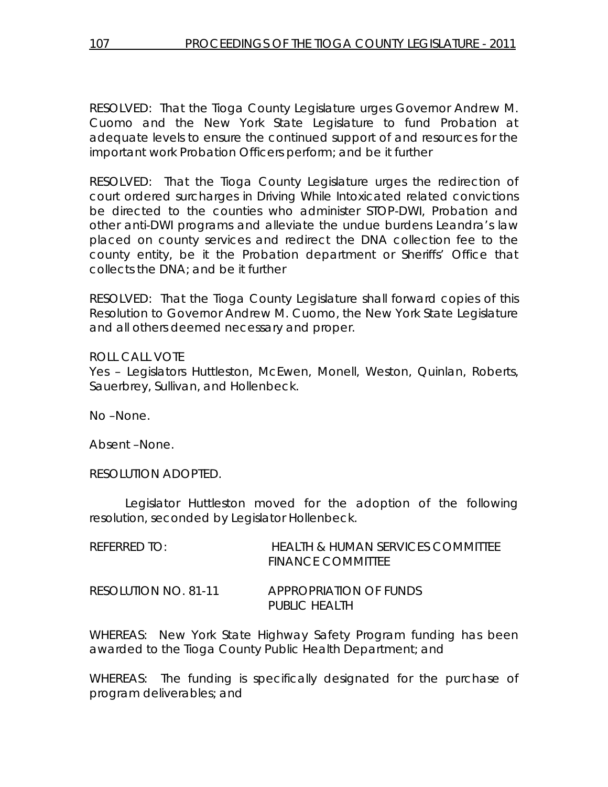RESOLVED: That the Tioga County Legislature urges Governor Andrew M. Cuomo and the New York State Legislature to fund Probation at adequate levels to ensure the continued support of and resources for the important work Probation Officers perform; and be it further

RESOLVED: That the Tioga County Legislature urges the redirection of court ordered surcharges in Driving While Intoxicated related convictions be directed to the counties who administer STOP-DWI, Probation and other anti-DWI programs and alleviate the undue burdens Leandra's law placed on county services and redirect the DNA collection fee to the county entity, be it the Probation department or Sheriffs' Office that collects the DNA; and be it further

RESOLVED: That the Tioga County Legislature shall forward copies of this Resolution to Governor Andrew M. Cuomo, the New York State Legislature and all others deemed necessary and proper.

ROLL CALL VOTE

Yes – Legislators Huttleston, McEwen, Monell, Weston, Quinlan, Roberts, Sauerbrey, Sullivan, and Hollenbeck.

No –None.

Absent –None.

RESOLUTION ADOPTED.

 Legislator Huttleston moved for the adoption of the following resolution, seconded by Legislator Hollenbeck.

| RFFRRFDIO:           | <b>HEALTH &amp; HUMAN SERVICES COMMITTEE</b><br><b>FINANCE COMMITTEE</b> |
|----------------------|--------------------------------------------------------------------------|
| RESOLUTION NO. 81-11 | <i>APPROPRIATION OF FUNDS</i><br>PUBLIC HEALTH                           |

WHEREAS: New York State Highway Safety Program funding has been awarded to the Tioga County Public Health Department; and

WHEREAS: The funding is specifically designated for the purchase of program deliverables; and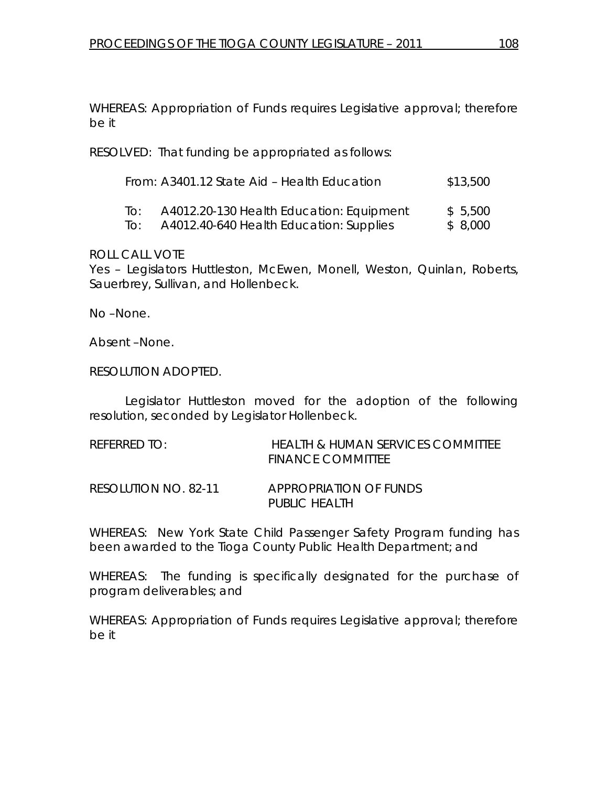WHEREAS: Appropriation of Funds requires Legislative approval; therefore be it

RESOLVED: That funding be appropriated as follows:

|     | From: A3401.12 State Aid – Health Education | \$13,500 |
|-----|---------------------------------------------|----------|
| ിറ: | A4012.20-130 Health Education: Equipment    | \$5,500  |
| lo: | A4012.40-640 Health Education: Supplies     | \$8,000  |

ROLL CALL VOTE

Yes – Legislators Huttleston, McEwen, Monell, Weston, Quinlan, Roberts, Sauerbrey, Sullivan, and Hollenbeck.

No –None.

Absent –None.

RESOLUTION ADOPTED.

 Legislator Huttleston moved for the adoption of the following resolution, seconded by Legislator Hollenbeck.

| REFERRED TO:         | HEALTH & HUMAN SERVICES COMMITTEE<br><b>FINANCE COMMITTEE</b> |
|----------------------|---------------------------------------------------------------|
| RESOLUTION NO. 82-11 | <i>APPROPRIATION OF FUNDS</i><br>PUBLIC HEALTH                |

WHEREAS: New York State Child Passenger Safety Program funding has been awarded to the Tioga County Public Health Department; and

WHEREAS: The funding is specifically designated for the purchase of program deliverables; and

WHEREAS: Appropriation of Funds requires Legislative approval; therefore be it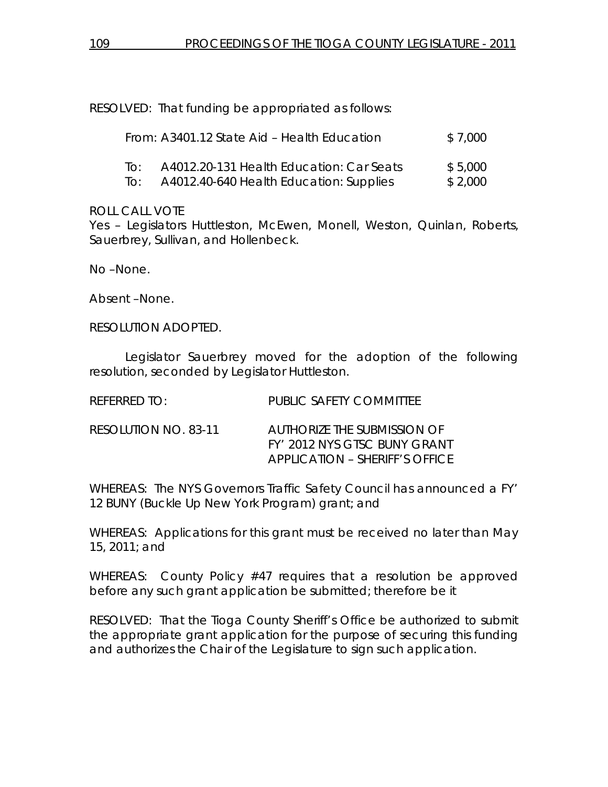RESOLVED: That funding be appropriated as follows:

|     | From: A3401.12 State Aid – Health Education | \$7.000 |
|-----|---------------------------------------------|---------|
| TO: | A4012.20-131 Health Education: Car Seats    | \$5.000 |
| To: | A4012.40-640 Health Education: Supplies     | \$2,000 |

### ROLL CALL VOTE

Yes – Legislators Huttleston, McEwen, Monell, Weston, Quinlan, Roberts, Sauerbrey, Sullivan, and Hollenbeck.

No –None.

Absent –None.

RESOLUTION ADOPTED.

 Legislator Sauerbrey moved for the adoption of the following resolution, seconded by Legislator Huttleston.

| $R$ FFFRRFD TO:      | PUBLIC SAFETY COMMITTEE                                                                              |
|----------------------|------------------------------------------------------------------------------------------------------|
| RESOLUTION NO. 83-11 | AUTHORIZE THE SUBMISSION OF<br><i>FY' 2012 NYS GISC BUNY GRANT</i><br>APPLICATION – SHERIFF'S OFFICE |

WHEREAS: The NYS Governors Traffic Safety Council has announced a FY' 12 BUNY (Buckle Up New York Program) grant; and

WHEREAS: Applications for this grant must be received no later than May 15, 2011; and

WHEREAS: County Policy #47 requires that a resolution be approved before any such grant application be submitted; therefore be it

RESOLVED: That the Tioga County Sheriff's Office be authorized to submit the appropriate grant application for the purpose of securing this funding and authorizes the Chair of the Legislature to sign such application.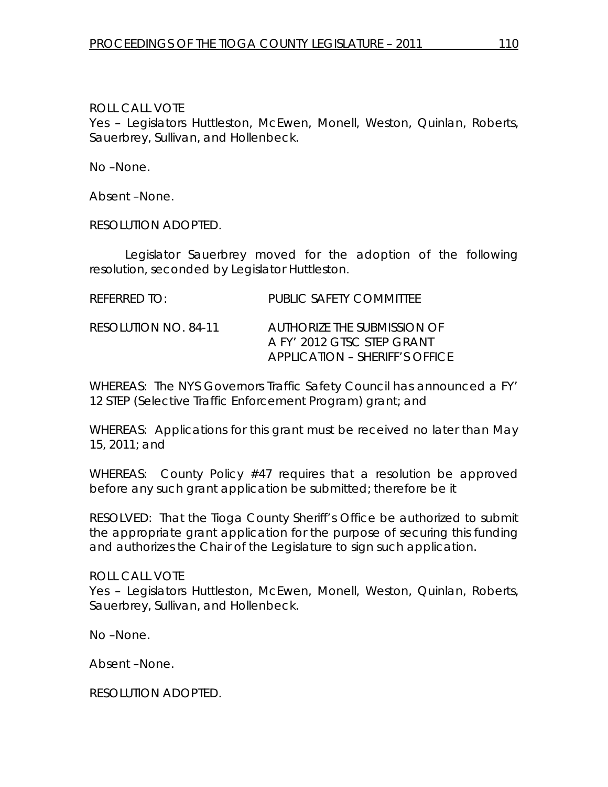ROLL CALL VOTE

Yes – Legislators Huttleston, McEwen, Monell, Weston, Quinlan, Roberts, Sauerbrey, Sullivan, and Hollenbeck.

No –None.

Absent –None.

RESOLUTION ADOPTED.

 Legislator Sauerbrey moved for the adoption of the following resolution, seconded by Legislator Huttleston.

| REFERRED TO:         | PUBLIC SAFETY COMMITTEE                                                                            |
|----------------------|----------------------------------------------------------------------------------------------------|
| RESOLUTION NO. 84-11 | AUTHORIZE THE SUBMISSION OF<br>A FY' 2012 GISC SIFP GRANT<br><b>APPLICATION - SHERIFF'S OFFICE</b> |

WHEREAS: The NYS Governors Traffic Safety Council has announced a FY' 12 STEP (Selective Traffic Enforcement Program) grant; and

WHEREAS: Applications for this grant must be received no later than May 15, 2011; and

WHEREAS: County Policy #47 requires that a resolution be approved before any such grant application be submitted; therefore be it

RESOLVED: That the Tioga County Sheriff's Office be authorized to submit the appropriate grant application for the purpose of securing this funding and authorizes the Chair of the Legislature to sign such application.

ROLL CALL VOTE Yes – Legislators Huttleston, McEwen, Monell, Weston, Quinlan, Roberts, Sauerbrey, Sullivan, and Hollenbeck.

No –None.

Absent –None.

RESOLUTION ADOPTED.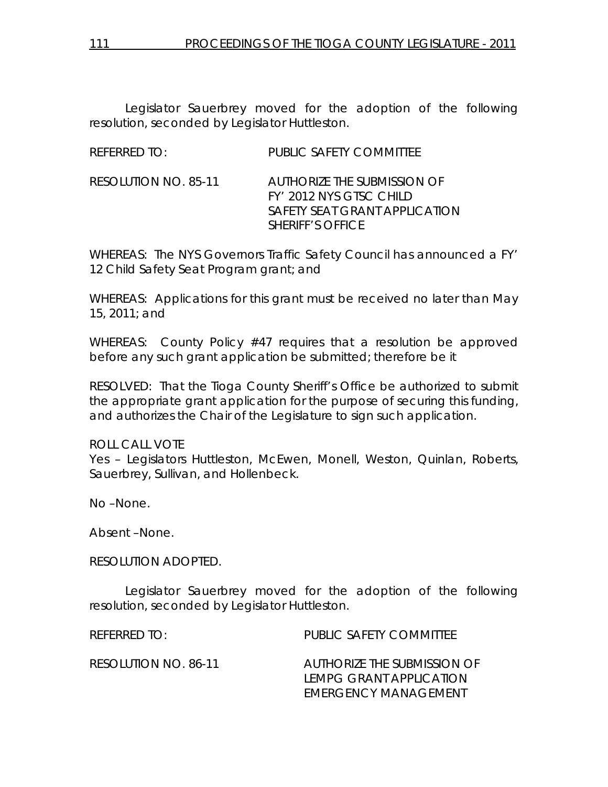Legislator Sauerbrey moved for the adoption of the following resolution, seconded by Legislator Huttleston.

| REFERRED TO:         | PUBLIC SAFETY COMMITTEE                                                                                                   |
|----------------------|---------------------------------------------------------------------------------------------------------------------------|
| RESOLUTION NO. 85-11 | AUTHORIZE THE SUBMISSION OF<br>FY' 2012 NYS GTSC CHILD<br><b>SAFETY SEAT GRANT APPLICATION</b><br><b>SHERIFF'S OFFICE</b> |

WHEREAS: The NYS Governors Traffic Safety Council has announced a FY' 12 Child Safety Seat Program grant; and

WHEREAS: Applications for this grant must be received no later than May 15, 2011; and

WHEREAS: County Policy #47 requires that a resolution be approved before any such grant application be submitted; therefore be it

RESOLVED: That the Tioga County Sheriff's Office be authorized to submit the appropriate grant application for the purpose of securing this funding, and authorizes the Chair of the Legislature to sign such application.

## ROLL CALL VOTE

Yes – Legislators Huttleston, McEwen, Monell, Weston, Quinlan, Roberts, Sauerbrey, Sullivan, and Hollenbeck.

No –None.

Absent –None.

RESOLUTION ADOPTED.

 Legislator Sauerbrey moved for the adoption of the following resolution, seconded by Legislator Huttleston.

REFERRED TO: PUBLIC SAFETY COMMITTEE RESOLUTION NO. 86-11 *AUTHORIZE THE SUBMISSION OF LEMPG GRANT APPLICATION EMERGENCY MANAGEMENT*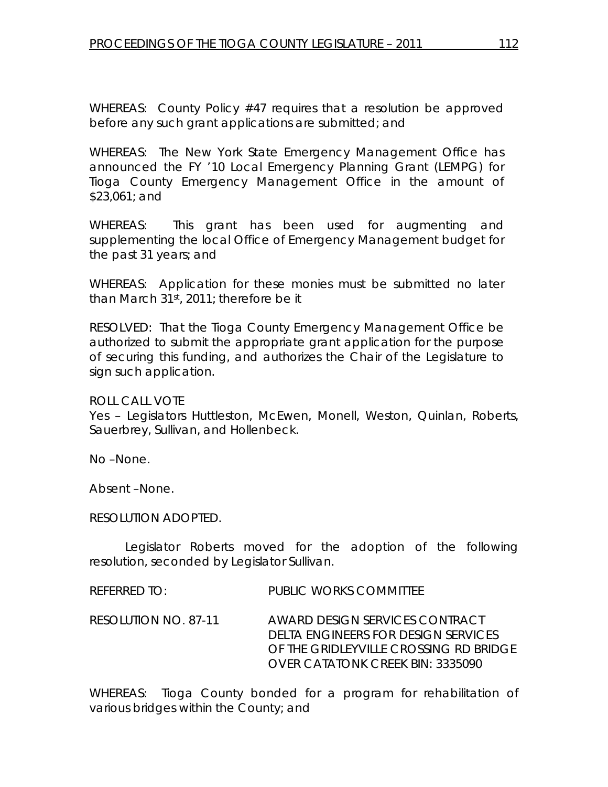WHEREAS: County Policy #47 requires that a resolution be approved before any such grant applications are submitted; and

WHEREAS: The New York State Emergency Management Office has announced the FY '10 Local Emergency Planning Grant (LEMPG) for Tioga County Emergency Management Office in the amount of \$23,061; and

WHEREAS: This grant has been used for augmenting and supplementing the local Office of Emergency Management budget for the past 31 years; and

WHEREAS: Application for these monies must be submitted no later than March 31st, 2011; therefore be it

RESOLVED: That the Tioga County Emergency Management Office be authorized to submit the appropriate grant application for the purpose of securing this funding, and authorizes the Chair of the Legislature to sign such application.

ROLL CALL VOTE

Yes – Legislators Huttleston, McEwen, Monell, Weston, Quinlan, Roberts, Sauerbrey, Sullivan, and Hollenbeck.

No –None.

Absent –None.

RESOLUTION ADOPTED.

 Legislator Roberts moved for the adoption of the following resolution, seconded by Legislator Sullivan.

REFERRED TO: PUBLIC WORKS COMMITTEE

RESOLUTION NO. 87-11 *AWARD DESIGN SERVICES CONTRACT DELTA ENGINEERS FOR DESIGN SERVICES OF THE GRIDLEYVILLE CROSSING RD BRIDGE OVER CATATONK CREEK BIN: 3335090* 

WHEREAS: Tioga County bonded for a program for rehabilitation of various bridges within the County; and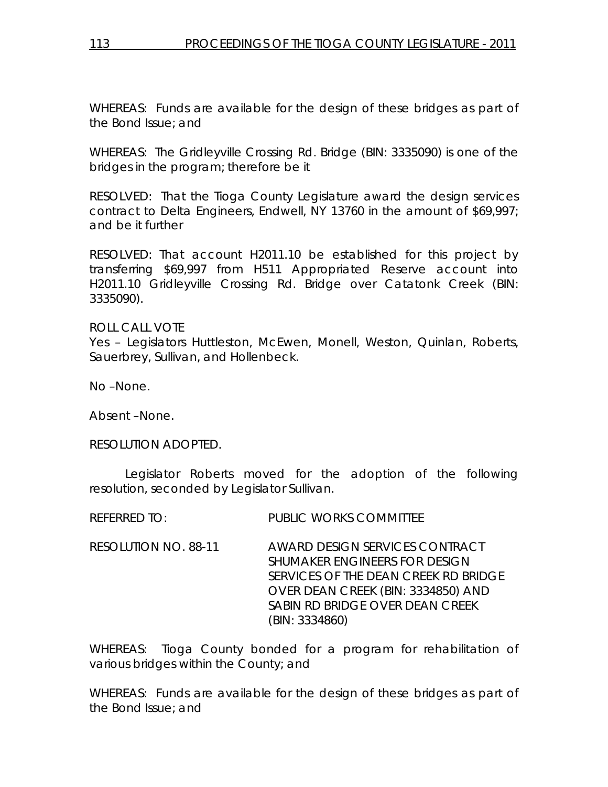WHEREAS: Funds are available for the design of these bridges as part of the Bond Issue; and

WHEREAS: The Gridleyville Crossing Rd. Bridge (BIN: 3335090) is one of the bridges in the program; therefore be it

RESOLVED: That the Tioga County Legislature award the design services contract to Delta Engineers, Endwell, NY 13760 in the amount of \$69,997; and be it further

RESOLVED: That account H2011.10 be established for this project by transferring \$69,997 from H511 Appropriated Reserve account into H2011.10 Gridleyville Crossing Rd. Bridge over Catatonk Creek (BIN: 3335090).

ROLL CALL VOTE Yes – Legislators Huttleston, McEwen, Monell, Weston, Quinlan, Roberts, Sauerbrey, Sullivan, and Hollenbeck.

No –None.

Absent –None.

RESOLUTION ADOPTED.

 Legislator Roberts moved for the adoption of the following resolution, seconded by Legislator Sullivan.

REFERRED TO: PUBLIC WORKS COMMITTEE

RESOLUTION NO. 88-11 *AWARD DESIGN SERVICES CONTRACT SHUMAKER ENGINEERS FOR DESIGN SERVICES OF THE DEAN CREEK RD BRIDGE OVER DEAN CREEK (BIN: 3334850) AND SABIN RD BRIDGE OVER DEAN CREEK (BIN: 3334860)* 

WHEREAS: Tioga County bonded for a program for rehabilitation of various bridges within the County; and

WHEREAS: Funds are available for the design of these bridges as part of the Bond Issue; and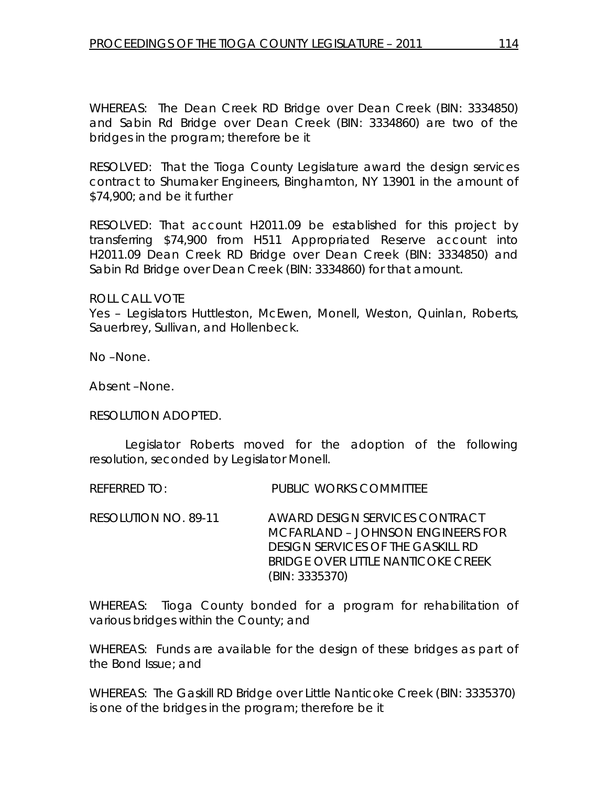WHEREAS: The Dean Creek RD Bridge over Dean Creek (BIN: 3334850) and Sabin Rd Bridge over Dean Creek (BIN: 3334860) are two of the bridges in the program; therefore be it

RESOLVED: That the Tioga County Legislature award the design services contract to Shumaker Engineers, Binghamton, NY 13901 in the amount of \$74,900; and be it further

RESOLVED: That account H2011.09 be established for this project by transferring \$74,900 from H511 Appropriated Reserve account into H2011.09 Dean Creek RD Bridge over Dean Creek (BIN: 3334850) and Sabin Rd Bridge over Dean Creek (BIN: 3334860) for that amount.

ROLL CALL VOTE

Yes – Legislators Huttleston, McEwen, Monell, Weston, Quinlan, Roberts, Sauerbrey, Sullivan, and Hollenbeck.

No –None.

Absent –None.

RESOLUTION ADOPTED.

 Legislator Roberts moved for the adoption of the following resolution, seconded by Legislator Monell.

REFERRED TO: PUBLIC WORKS COMMITTEE

RESOLUTION NO. 89-11 *AWARD DESIGN SERVICES CONTRACT MCFARLAND – JOHNSON ENGINEERS FOR DESIGN SERVICES OF THE GASKILL RD BRIDGE OVER LITTLE NANTICOKE CREEK (BIN: 3335370)* 

WHEREAS: Tioga County bonded for a program for rehabilitation of various bridges within the County; and

WHEREAS: Funds are available for the design of these bridges as part of the Bond Issue; and

WHEREAS: The Gaskill RD Bridge over Little Nanticoke Creek (BIN: 3335370) is one of the bridges in the program; therefore be it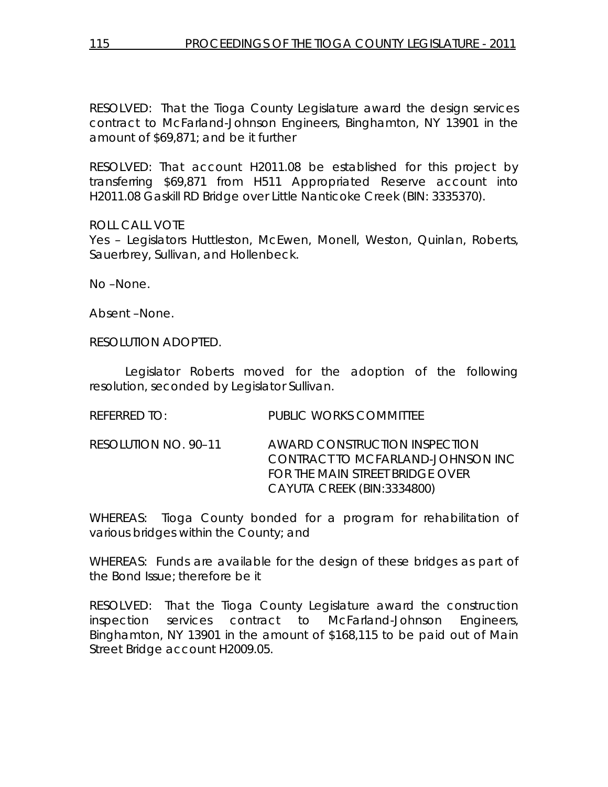RESOLVED: That the Tioga County Legislature award the design services contract to McFarland-Johnson Engineers, Binghamton, NY 13901 in the amount of \$69,871; and be it further

RESOLVED: That account H2011.08 be established for this project by transferring \$69,871 from H511 Appropriated Reserve account into H2011.08 Gaskill RD Bridge over Little Nanticoke Creek (BIN: 3335370).

ROLL CALL VOTE

Yes – Legislators Huttleston, McEwen, Monell, Weston, Quinlan, Roberts, Sauerbrey, Sullivan, and Hollenbeck.

No –None.

Absent –None.

RESOLUTION ADOPTED.

 Legislator Roberts moved for the adoption of the following resolution, seconded by Legislator Sullivan.

| <b>REFERRED TO:</b> | <b>PUBLIC WORKS COMMITTEE</b> |
|---------------------|-------------------------------|

RESOLUTION NO. 90–11 *AWARD CONSTRUCTION INSPECTION CONTRACT TO MCFARLAND-JOHNSON INC FOR THE MAIN STREET BRIDGE OVER CAYUTA CREEK (BIN:3334800)* 

WHEREAS: Tioga County bonded for a program for rehabilitation of various bridges within the County; and

WHEREAS: Funds are available for the design of these bridges as part of the Bond Issue; therefore be it

RESOLVED: That the Tioga County Legislature award the construction inspection services contract to McFarland-Johnson Engineers, Binghamton, NY 13901 in the amount of \$168,115 to be paid out of Main Street Bridge account H2009.05.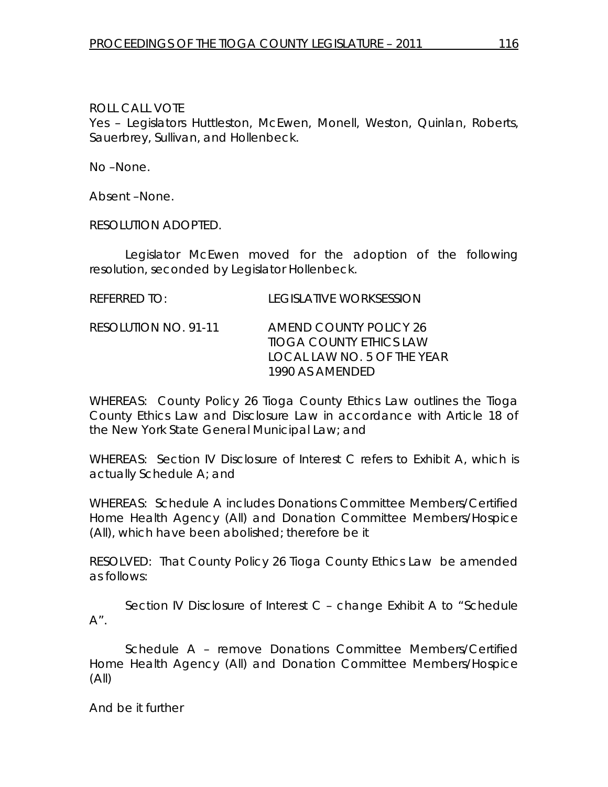ROLL CALL VOTE

Yes – Legislators Huttleston, McEwen, Monell, Weston, Quinlan, Roberts, Sauerbrey, Sullivan, and Hollenbeck.

No –None.

Absent –None.

RESOLUTION ADOPTED.

 Legislator McEwen moved for the adoption of the following resolution, seconded by Legislator Hollenbeck.

| REFERRED TO:         | LEGISLATIVE WORKSESSION                           |
|----------------------|---------------------------------------------------|
| RESOLUTION NO. 91-11 | AMEND COUNTY POLICY 26<br>TIOGA COUNTY ETHICS LAW |

WHEREAS: County Policy 26 Tioga County Ethics Law outlines the Tioga County Ethics Law and Disclosure Law in accordance with Article 18 of the New York State General Municipal Law; and

 *1990 AS AMENDED* 

 *LOCAL LAW NO. 5 OF THE YEAR* 

WHEREAS: Section IV Disclosure of Interest C refers to Exhibit A, which is actually Schedule A; and

WHEREAS: Schedule A includes Donations Committee Members/Certified Home Health Agency (All) and Donation Committee Members/Hospice (All), which have been abolished; therefore be it

RESOLVED: That County Policy 26 Tioga County Ethics Law be amended as follows:

 Section IV Disclosure of Interest C – change Exhibit A to "Schedule  $A''$  .

 Schedule A – remove Donations Committee Members/Certified Home Health Agency (All) and Donation Committee Members/Hospice (All)

And be it further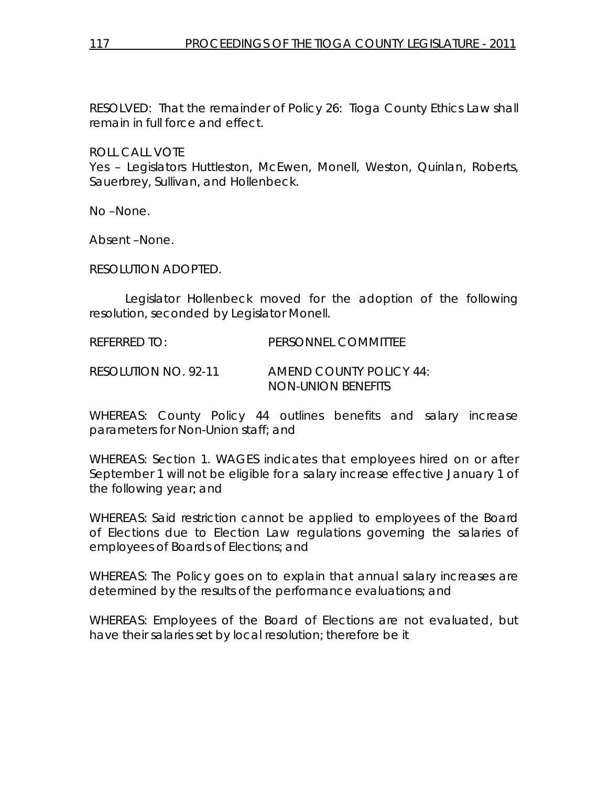RESOLVED: That the remainder of Policy 26: Tioga County Ethics Law shall remain in full force and effect.

ROLL CALL VOTE

Yes – Legislators Huttleston, McEwen, Monell, Weston, Quinlan, Roberts, Sauerbrey, Sullivan, and Hollenbeck.

No –None.

Absent –None.

RESOLUTION ADOPTED.

 Legislator Hollenbeck moved for the adoption of the following resolution, seconded by Legislator Monell.

REFERRED TO: PERSONNEL COMMITTEE

RESOLUTION NO. 92-11 *AMEND COUNTY POLICY 44: NON-UNION BENEFITS* 

WHEREAS: County Policy 44 outlines benefits and salary increase parameters for Non-Union staff; and

WHEREAS: Section 1. WAGES indicates that employees hired on or after September 1 will not be eligible for a salary increase effective January 1 of the following year; and

WHEREAS: Said restriction cannot be applied to employees of the Board of Elections due to Election Law regulations governing the salaries of employees of Boards of Elections; and

WHEREAS: The Policy goes on to explain that annual salary increases are determined by the results of the performance evaluations; and

WHEREAS: Employees of the Board of Elections are not evaluated, but have their salaries set by local resolution; therefore be it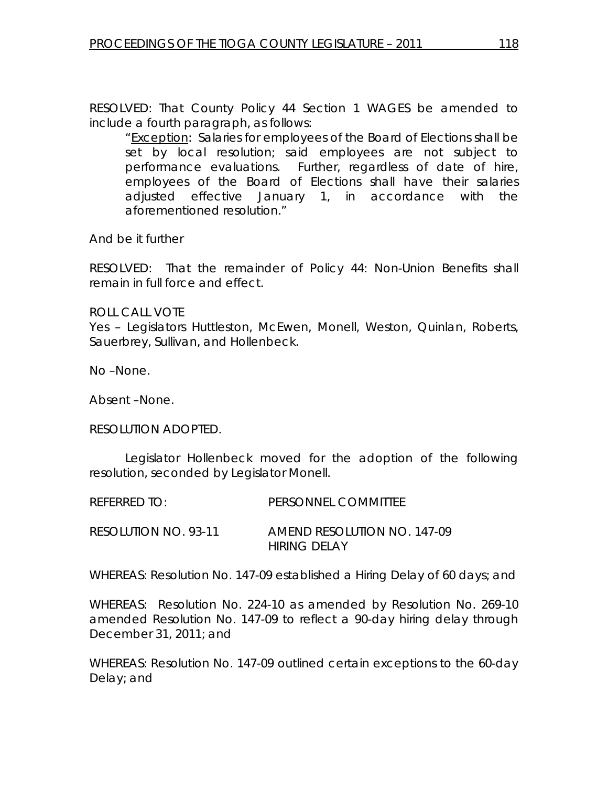RESOLVED: That County Policy 44 Section 1 WAGES be amended to include a fourth paragraph, as follows:

 "Exception: Salaries for employees of the Board of Elections shall be set by local resolution; said employees are not subject to performance evaluations. Further, regardless of date of hire, employees of the Board of Elections shall have their salaries adjusted effective January 1, in accordance with the aforementioned resolution."

And be it further

RESOLVED: That the remainder of Policy 44: Non-Union Benefits shall remain in full force and effect.

ROLL CALL VOTE

Yes – Legislators Huttleston, McEwen, Monell, Weston, Quinlan, Roberts, Sauerbrey, Sullivan, and Hollenbeck.

No –None.

Absent –None.

RESOLUTION ADOPTED.

 Legislator Hollenbeck moved for the adoption of the following resolution, seconded by Legislator Monell.

REFERRED TO: PERSONNEL COMMITTEE RESOLUTION NO. 93-11 *AMEND RESOLUTION NO. 147-09 HIRING DELAY* 

WHEREAS: Resolution No. 147-09 established a Hiring Delay of 60 days; and

WHEREAS: Resolution No. 224-10 as amended by Resolution No. 269-10 amended Resolution No. 147-09 to reflect a 90-day hiring delay through December 31, 2011; and

WHEREAS: Resolution No. 147-09 outlined certain exceptions to the 60-day Delay; and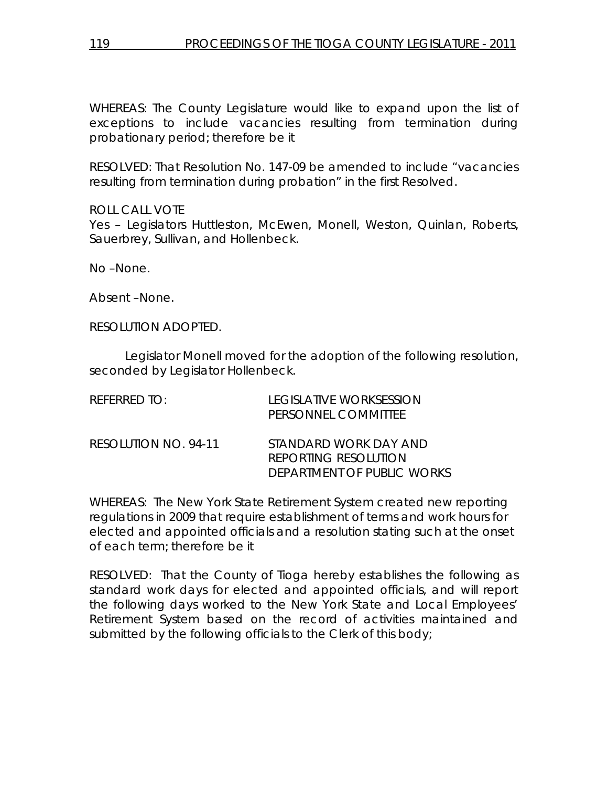WHEREAS: The County Legislature would like to expand upon the list of exceptions to include vacancies resulting from termination during probationary period; therefore be it

RESOLVED: That Resolution No. 147-09 be amended to include "vacancies resulting from termination during probation" in the first Resolved.

ROLL CALL VOTE Yes – Legislators Huttleston, McEwen, Monell, Weston, Quinlan, Roberts, Sauerbrey, Sullivan, and Hollenbeck.

No –None.

Absent –None.

RESOLUTION ADOPTED.

 Legislator Monell moved for the adoption of the following resolution, seconded by Legislator Hollenbeck.

| REFERRED TO:         | LEGISLATIVE WORKSESSION<br>PERSONNEL COMMITTEE                                     |
|----------------------|------------------------------------------------------------------------------------|
| RESOLUTION NO. 94-11 | STANDARD WORK DAY AND<br><b>REPORTING RESOLUTION</b><br>DEPARTMENT OF PUBLIC WORKS |

WHEREAS: The New York State Retirement System created new reporting regulations in 2009 that require establishment of terms and work hours for elected and appointed officials and a resolution stating such at the onset of each term; therefore be it

RESOLVED: That the County of Tioga hereby establishes the following as standard work days for elected and appointed officials, and will report the following days worked to the New York State and Local Employees' Retirement System based on the record of activities maintained and submitted by the following officials to the Clerk of this body;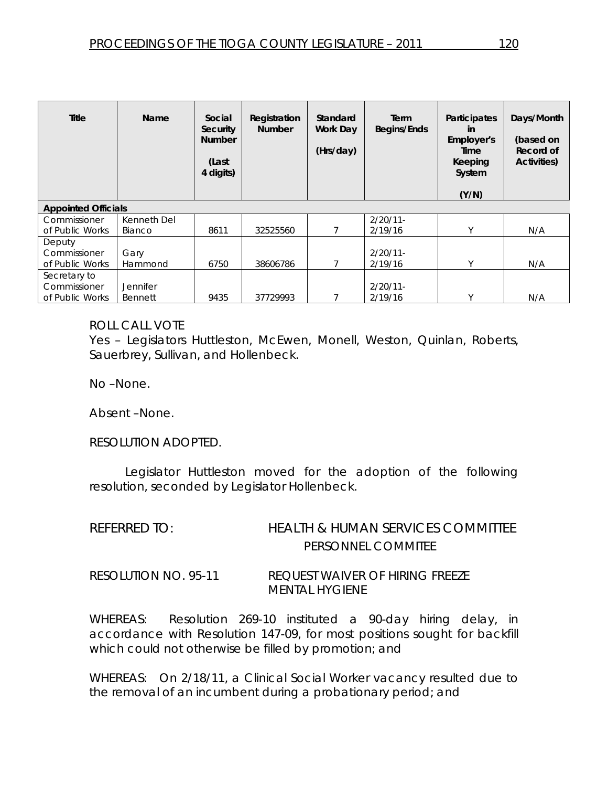| Title                      | <b>Name</b>     | Social<br>Security<br><b>Number</b><br>(Last<br>4 digits) | Registration<br><b>Number</b> | Standard<br><b>Work Day</b><br>(Hrs/day) | Term<br>Begins/Ends | Participates<br>in<br>Employer's<br>Time<br>Keeping<br>System<br>(Y/N) | Days/Month<br>(based on<br>Record of<br><b>Activities</b> ) |
|----------------------------|-----------------|-----------------------------------------------------------|-------------------------------|------------------------------------------|---------------------|------------------------------------------------------------------------|-------------------------------------------------------------|
| <b>Appointed Officials</b> |                 |                                                           |                               |                                          |                     |                                                                        |                                                             |
| Commissioner               | Kenneth Del     |                                                           |                               |                                          | $2/20/11$ -         |                                                                        |                                                             |
| of Public Works            | Bianco          | 8611                                                      | 32525560                      |                                          | 2/19/16             | ٧                                                                      | N/A                                                         |
| Deputy                     |                 |                                                           |                               |                                          |                     |                                                                        |                                                             |
| Commissioner               | Gary            |                                                           |                               |                                          | $2/20/11$ -         |                                                                        |                                                             |
| of Public Works            | Hammond         | 6750                                                      | 38606786                      |                                          | 2/19/16             | ٧                                                                      | N/A                                                         |
| Secretary to               |                 |                                                           |                               |                                          |                     |                                                                        |                                                             |
| Commissioner               | <b>Jennifer</b> |                                                           |                               |                                          | $2/20/11$ -         |                                                                        |                                                             |
| of Public Works            | Bennett         | 9435                                                      | 37729993                      |                                          | 2/19/16             |                                                                        | N/A                                                         |

### ROLL CALL VOTE

Yes – Legislators Huttleston, McEwen, Monell, Weston, Quinlan, Roberts, Sauerbrey, Sullivan, and Hollenbeck.

No –None.

Absent –None.

RESOLUTION ADOPTED.

 Legislator Huttleston moved for the adoption of the following resolution, seconded by Legislator Hollenbeck.

| REFERRED TO:         | HEALTH & HUMAN SERVICES COMMITTEE                        |
|----------------------|----------------------------------------------------------|
|                      | PERSONNEL COMMITEE                                       |
| RESOLUTION NO. 95-11 | REQUEST WAIVER OF HIRING FREEZE<br><i>MENTAL HYGIENE</i> |

WHEREAS: Resolution 269-10 instituted a 90-day hiring delay, in accordance with Resolution 147-09, for most positions sought for backfill which could not otherwise be filled by promotion; and

WHEREAS: On 2/18/11, a Clinical Social Worker vacancy resulted due to the removal of an incumbent during a probationary period; and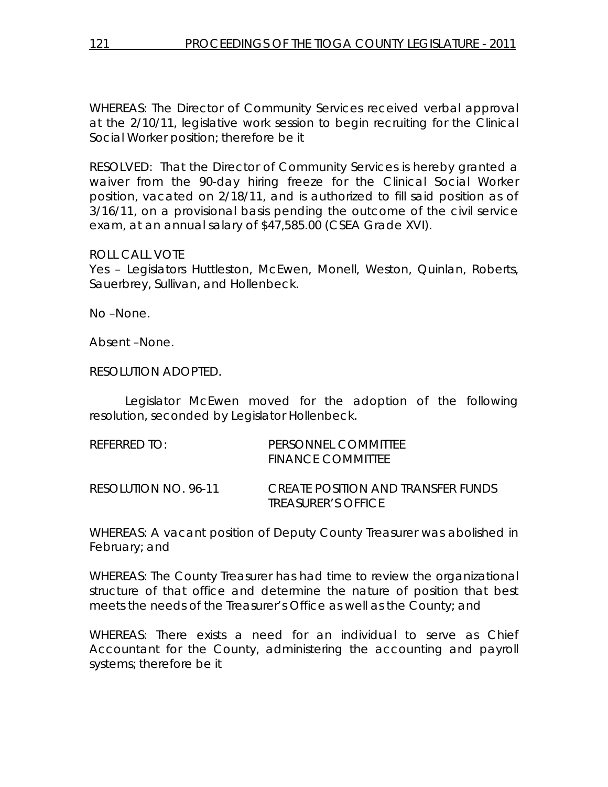WHEREAS: The Director of Community Services received verbal approval at the 2/10/11, legislative work session to begin recruiting for the Clinical Social Worker position; therefore be it

RESOLVED: That the Director of Community Services is hereby granted a waiver from the 90-day hiring freeze for the Clinical Social Worker position, vacated on 2/18/11, and is authorized to fill said position as of 3/16/11, on a provisional basis pending the outcome of the civil service exam, at an annual salary of \$47,585.00 (CSEA Grade XVI).

### ROLL CALL VOTE

Yes – Legislators Huttleston, McEwen, Monell, Weston, Quinlan, Roberts, Sauerbrey, Sullivan, and Hollenbeck.

No –None.

Absent –None.

RESOLUTION ADOPTED.

 Legislator McEwen moved for the adoption of the following resolution, seconded by Legislator Hollenbeck.

| referred to:         | PERSONNEL COMMITTEE<br><b>FINANCE COMMITTEE</b>                               |
|----------------------|-------------------------------------------------------------------------------|
| RESOLUTION NO. 96-11 | <i>CREATE POSITION AND TRANSFER FUNDS</i><br><i><b>IREASURER'S OFFICE</b></i> |

WHEREAS: A vacant position of Deputy County Treasurer was abolished in February; and

WHEREAS: The County Treasurer has had time to review the organizational structure of that office and determine the nature of position that best meets the needs of the Treasurer's Office as well as the County; and

WHEREAS: There exists a need for an individual to serve as Chief Accountant for the County, administering the accounting and payroll systems; therefore be it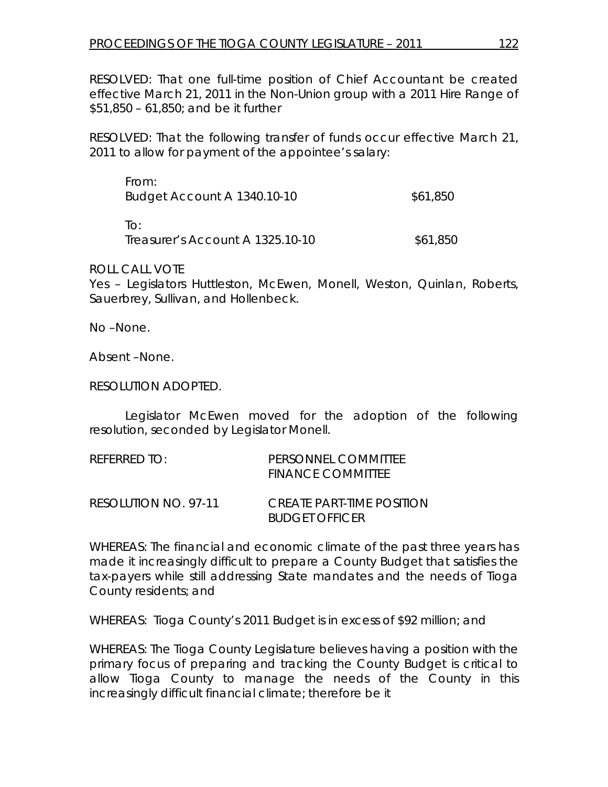RESOLVED: That one full-time position of Chief Accountant be created effective March 21, 2011 in the Non-Union group with a 2011 Hire Range of \$51,850 – 61,850; and be it further

RESOLVED: That the following transfer of funds occur effective March 21, 2011 to allow for payment of the appointee's salary:

| From:<br>Budget Account A 1340.10-10 | \$61,850 |
|--------------------------------------|----------|
| ⊺∩∙                                  |          |

Treasurer's Account A 1325.10-10 \$61,850

ROLL CALL VOTE

Yes – Legislators Huttleston, McEwen, Monell, Weston, Quinlan, Roberts, Sauerbrey, Sullivan, and Hollenbeck.

No –None.

Absent –None.

RESOLUTION ADOPTED.

 Legislator McEwen moved for the adoption of the following resolution, seconded by Legislator Monell.

| REFERRED TO:         | PERSONNEL COMMITTEE<br><b>FINANCE COMMITTEE</b>           |
|----------------------|-----------------------------------------------------------|
| RESOLUTION NO. 97-11 | <i>CREATE PART-TIME POSITION</i><br><i>BUDGET OFFICER</i> |

WHEREAS: The financial and economic climate of the past three years has made it increasingly difficult to prepare a County Budget that satisfies the tax-payers while still addressing State mandates and the needs of Tioga County residents; and

WHEREAS: Tioga County's 2011 Budget is in excess of \$92 million; and

WHEREAS: The Tioga County Legislature believes having a position with the primary focus of preparing and tracking the County Budget is critical to allow Tioga County to manage the needs of the County in this increasingly difficult financial climate; therefore be it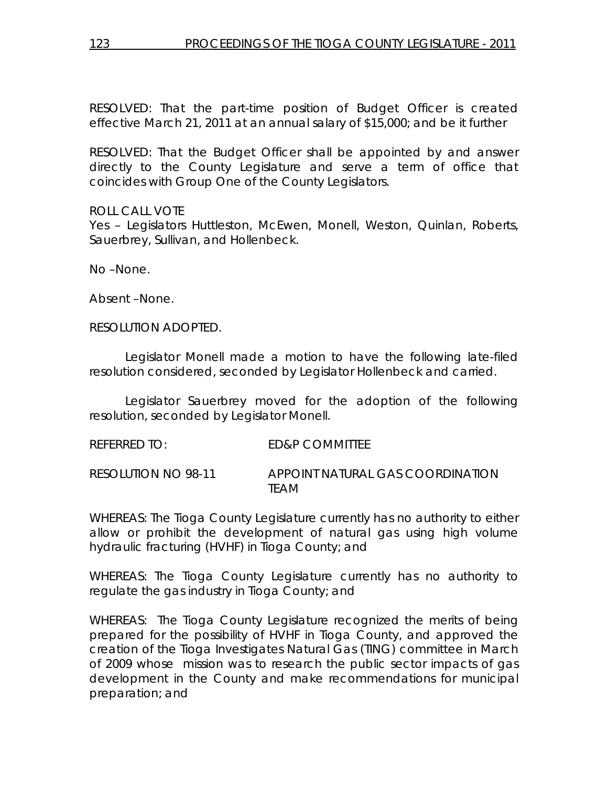RESOLVED: That the part-time position of Budget Officer is created effective March 21, 2011 at an annual salary of \$15,000; and be it further

RESOLVED: That the Budget Officer shall be appointed by and answer directly to the County Legislature and serve a term of office that coincides with Group One of the County Legislators.

ROLL CALL VOTE

Yes – Legislators Huttleston, McEwen, Monell, Weston, Quinlan, Roberts, Sauerbrey, Sullivan, and Hollenbeck.

No –None.

Absent –None.

RESOLUTION ADOPTED.

 Legislator Monell made a motion to have the following late-filed resolution considered, seconded by Legislator Hollenbeck and carried.

 Legislator Sauerbrey moved for the adoption of the following resolution, seconded by Legislator Monell.

REFERRED TO: ED&P COMMITTEE RESOLUTION NO 98-11 *APPOINT NATURAL GAS COORDINATION TEAM* 

WHEREAS: The Tioga County Legislature currently has no authority to either allow or prohibit the development of natural gas using high volume hydraulic fracturing (HVHF) in Tioga County; and

WHEREAS: The Tioga County Legislature currently has no authority to regulate the gas industry in Tioga County; and

WHEREAS: The Tioga County Legislature recognized the merits of being prepared for the possibility of HVHF in Tioga County, and approved the creation of the Tioga Investigates Natural Gas (TING) committee in March of 2009 whose mission was to research the public sector impacts of gas development in the County and make recommendations for municipal preparation; and